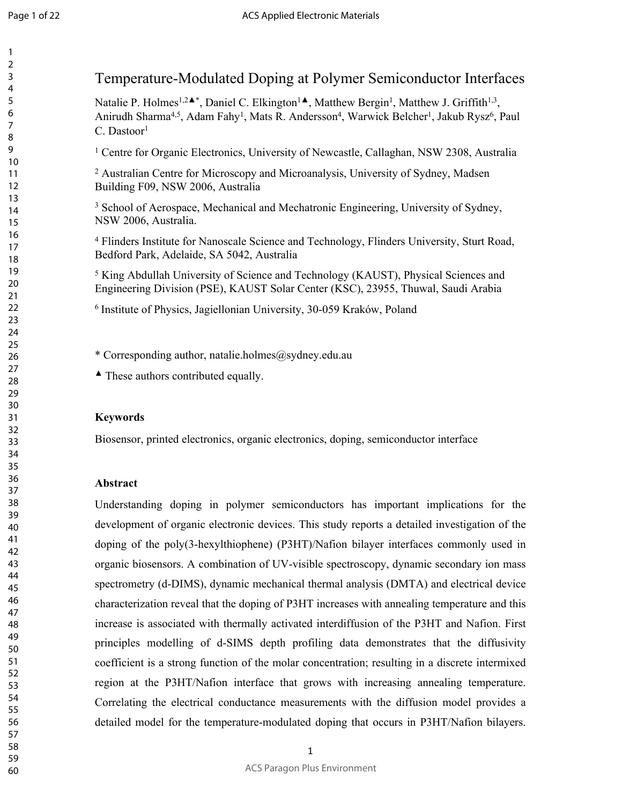# Temperature-Modulated Doping at Polymer Semiconductor Interfaces

Natalie P. Holmes<sup>1,2 $\blacktriangle$ <sup>\*</sup>, Daniel C. Elkington<sup>1</sup>A, Matthew Bergin<sup>1</sup>, Matthew J. Griffith<sup>1,3</sup>,</sup> Anirudh Sharma<sup>4,5</sup>, Adam Fahy<sup>1</sup>, Mats R. Andersson<sup>4</sup>, Warwick Belcher<sup>1</sup>, Jakub Rysz<sup>6</sup>, Paul  $C.$  Dastoor<sup>1</sup>

<sup>1</sup> Centre for Organic Electronics, University of Newcastle, Callaghan, NSW 2308, Australia

 Australian Centre for Microscopy and Microanalysis, University of Sydney, Madsen Building F09, NSW 2006, Australia

<sup>3</sup> School of Aerospace, Mechanical and Mechatronic Engineering, University of Sydney, NSW 2006, Australia.

 Flinders Institute for Nanoscale Science and Technology, Flinders University, Sturt Road, Bedford Park, Adelaide, SA 5042, Australia

<sup>5</sup> King Abdullah University of Science and Technology (KAUST), Physical Sciences and Engineering Division (PSE), KAUST Solar Center (KSC), 23955, Thuwal, Saudi Arabia

Institute of Physics, Jagiellonian University, 30-059 Kraków, Poland

\* Corresponding author, natalie.holmes@sydney.edu.au

 $\triangle$  These authors contributed equally.

# **Keywords**

Biosensor, printed electronics, organic electronics, doping, semiconductor interface

# **Abstract**

Understanding doping in polymer semiconductors has important implications for the development of organic electronic devices. This study reports a detailed investigation of the doping of the poly(3-hexylthiophene) (P3HT)/Nafion bilayer interfaces commonly used in organic biosensors. A combination of UV-visible spectroscopy, dynamic secondary ion mass spectrometry (d-DIMS), dynamic mechanical thermal analysis (DMTA) and electrical device characterization reveal that the doping of P3HT increases with annealing temperature and this increase is associated with thermally activated interdiffusion of the P3HT and Nafion. First principles modelling of d-SIMS depth profiling data demonstrates that the diffusivity coefficient is a strong function of the molar concentration; resulting in a discrete intermixed region at the P3HT/Nafion interface that grows with increasing annealing temperature. Correlating the electrical conductance measurements with the diffusion model provides a detailed model for the temperature-modulated doping that occurs in P3HT/Nafion bilayers.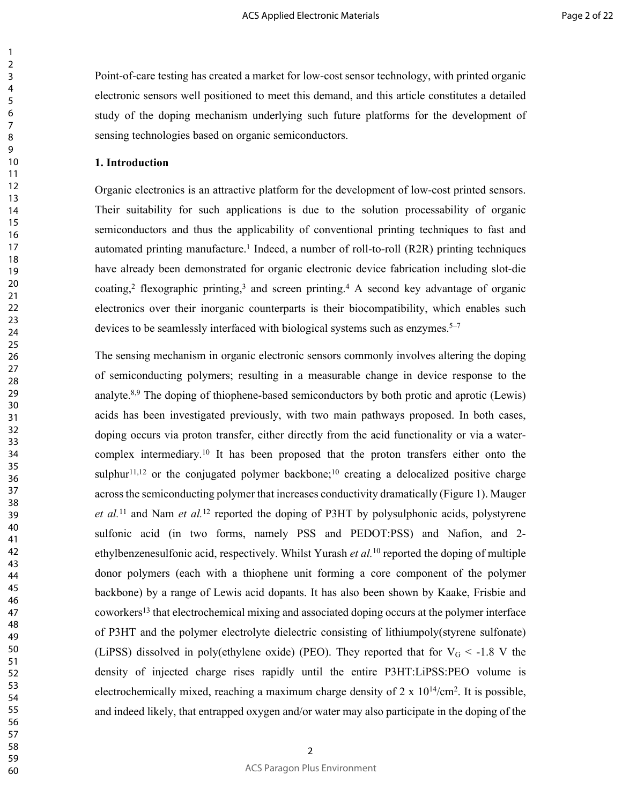Point-of-care testing has created a market for low-cost sensor technology, with printed organic electronic sensors well positioned to meet this demand, and this article constitutes a detailed study of the doping mechanism underlying such future platforms for the development of sensing technologies based on organic semiconductors.

# **1. Introduction**

Organic electronics is an attractive platform for the development of low-cost printed sensors. Their suitability for such applications is due to the solution processability of organic semiconductors and thus the applicability of conventional printing techniques to fast and automated printing manufacture.<sup>1</sup> Indeed, a number of roll-to-roll (R2R) printing techniques have already been demonstrated for organic electronic device fabrication including slot-die coating,<sup>2</sup> flexographic printing,<sup>3</sup> and screen printing.<sup>4</sup> A second key advantage of organic electronics over their inorganic counterparts is their biocompatibility, which enables such devices to be seamlessly interfaced with biological systems such as enzymes.<sup>5-7</sup>

The sensing mechanism in organic electronic sensors commonly involves altering the doping of semiconducting polymers; resulting in a measurable change in device response to the analyte.8,9 The doping of thiophene-based semiconductors by both protic and aprotic (Lewis) acids has been investigated previously, with two main pathways proposed. In both cases, doping occurs via proton transfer, either directly from the acid functionality or via a watercomplex intermediary.<sup>10</sup> It has been proposed that the proton transfers either onto the sulphur<sup>11,12</sup> or the conjugated polymer backbone;<sup>10</sup> creating a delocalized positive charge across the semiconducting polymer that increases conductivity dramatically (Figure 1). Mauger *et al.*<sup>11</sup> and Nam *et al.*<sup>12</sup> reported the doping of P3HT by polysulphonic acids, polystyrene sulfonic acid (in two forms, namely PSS and PEDOT:PSS) and Nafion, and 2 ethylbenzenesulfonic acid, respectively. Whilst Yurash *et al.*<sup>10</sup> reported the doping of multiple donor polymers (each with a thiophene unit forming a core component of the polymer backbone) by a range of Lewis acid dopants. It has also been shown by Kaake, Frisbie and coworkers<sup>13</sup> that electrochemical mixing and associated doping occurs at the polymer interface of P3HT and the polymer electrolyte dielectric consisting of lithiumpoly(styrene sulfonate) (LiPSS) dissolved in poly(ethylene oxide) (PEO). They reported that for  $V_G \le -1.8$  V the density of injected charge rises rapidly until the entire P3HT:LiPSS:PEO volume is electrochemically mixed, reaching a maximum charge density of  $2 \times 10^{14}/\text{cm}^2$ . It is possible, and indeed likely, that entrapped oxygen and/or water may also participate in the doping of the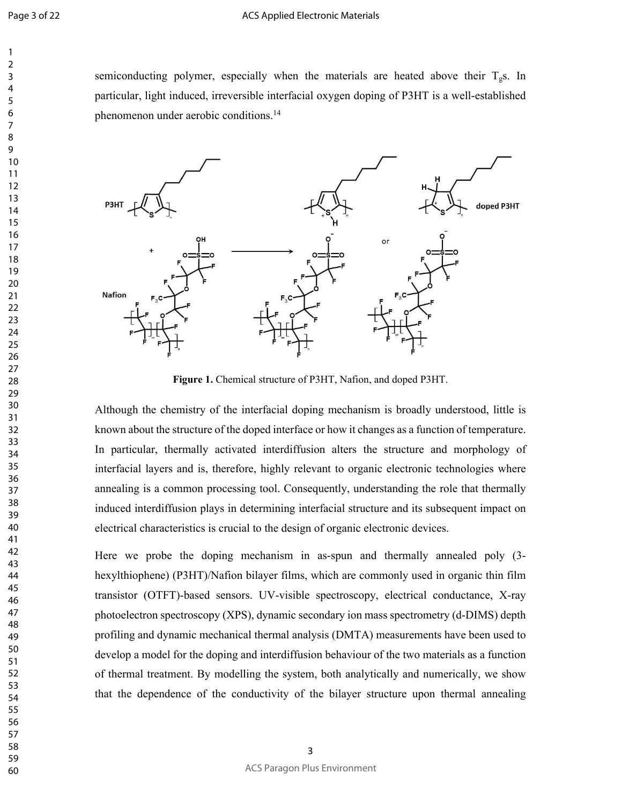semiconducting polymer, especially when the materials are heated above their  $T_{g}$ s. In particular, light induced, irreversible interfacial oxygen doping of P3HT is a well-established phenomenon under aerobic conditions.<sup>14</sup>



**Figure 1.** Chemical structure of P3HT, Nafion, and doped P3HT.

Although the chemistry of the interfacial doping mechanism is broadly understood, little is known about the structure of the doped interface or how it changes as a function of temperature. In particular, thermally activated interdiffusion alters the structure and morphology of interfacial layers and is, therefore, highly relevant to organic electronic technologies where annealing is a common processing tool. Consequently, understanding the role that thermally induced interdiffusion plays in determining interfacial structure and its subsequent impact on electrical characteristics is crucial to the design of organic electronic devices.

Here we probe the doping mechanism in as-spun and thermally annealed poly (3 hexylthiophene) (P3HT)/Nafion bilayer films, which are commonly used in organic thin film transistor (OTFT)-based sensors. UV-visible spectroscopy, electrical conductance, X-ray photoelectron spectroscopy (XPS), dynamic secondary ion mass spectrometry (d-DIMS) depth profiling and dynamic mechanical thermal analysis (DMTA) measurements have been used to develop a model for the doping and interdiffusion behaviour of the two materials as a function of thermal treatment. By modelling the system, both analytically and numerically, we show that the dependence of the conductivity of the bilayer structure upon thermal annealing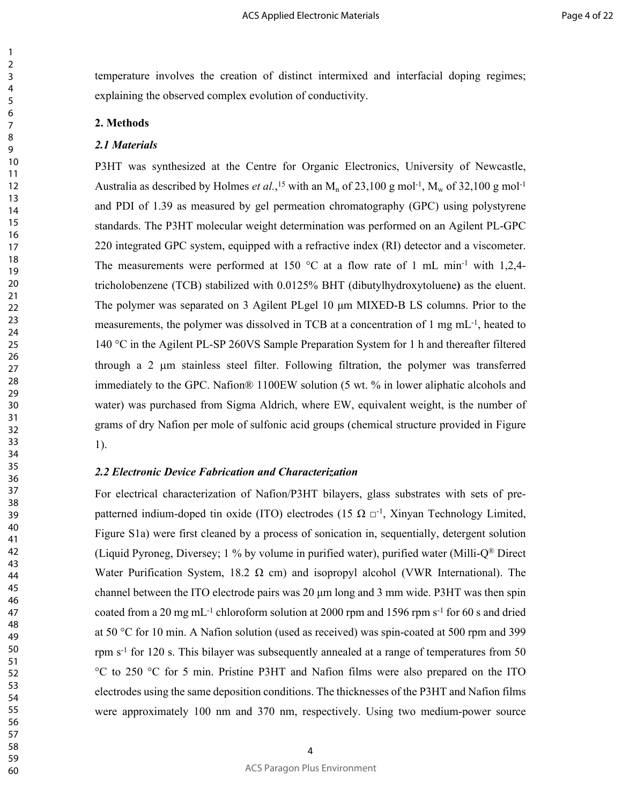temperature involves the creation of distinct intermixed and interfacial doping regimes; explaining the observed complex evolution of conductivity.

# **2. Methods**

### *2.1 Materials*

P3HT was synthesized at the Centre for Organic Electronics, University of Newcastle, Australia as described by Holmes *et al.*,<sup>15</sup> with an  $M_n$  of 23,100 g mol<sup>-1</sup>,  $M_w$  of 32,100 g mol<sup>-1</sup> and PDI of 1.39 as measured by gel permeation chromatography (GPC) using polystyrene standards. The P3HT molecular weight determination was performed on an Agilent PL-GPC 220 integrated GPC system, equipped with a refractive index (RI) detector and a viscometer. The measurements were performed at 150  $\degree$ C at a flow rate of 1 mL min<sup>-1</sup> with 1,2,4tricholobenzene (TCB) stabilized with 0.0125% BHT (dibutylhydroxytoluene**)** as the eluent. The polymer was separated on 3 Agilent PLgel 10  $\mu$ m MIXED-B LS columns. Prior to the measurements, the polymer was dissolved in TCB at a concentration of 1 mg  $mL^{-1}$ , heated to 140 °C in the Agilent PL-SP 260VS Sample Preparation System for 1 h and thereafter filtered through a 2 m stainless steel filter. Following filtration, the polymer was transferred immediately to the GPC. Nafion® 1100EW solution (5 wt. % in lower aliphatic alcohols and water) was purchased from Sigma Aldrich, where EW, equivalent weight, is the number of grams of dry Nafion per mole of sulfonic acid groups (chemical structure provided in Figure 1).

#### *2.2 Electronic Device Fabrication and Characterization*

For electrical characterization of Nafion/P3HT bilayers, glass substrates with sets of prepatterned indium-doped tin oxide (ITO) electrodes (15  $\Omega \Box$ <sup>1</sup>, Xinyan Technology Limited, Figure S1a) were first cleaned by a process of sonication in, sequentially, detergent solution (Liquid Pyroneg, Diversey; 1 % by volume in purified water), purified water (Milli-Q® Direct Water Purification System, 18.2  $\Omega$  cm) and isopropyl alcohol (VWR International). The channel between the ITO electrode pairs was  $20 \mu m$  long and 3 mm wide. P3HT was then spin coated from a 20 mg mL<sup>-1</sup> chloroform solution at 2000 rpm and 1596 rpm  $s^{-1}$  for 60 s and dried at 50 °C for 10 min. A Nafion solution (used as received) was spin-coated at 500 rpm and 399 rpm  $s^{-1}$  for 120 s. This bilayer was subsequently annealed at a range of temperatures from 50 °C to 250 °C for 5 min. Pristine P3HT and Nafion films were also prepared on the ITO electrodes using the same deposition conditions. The thicknesses of the P3HT and Nafion films were approximately 100 nm and 370 nm, respectively. Using two medium-power source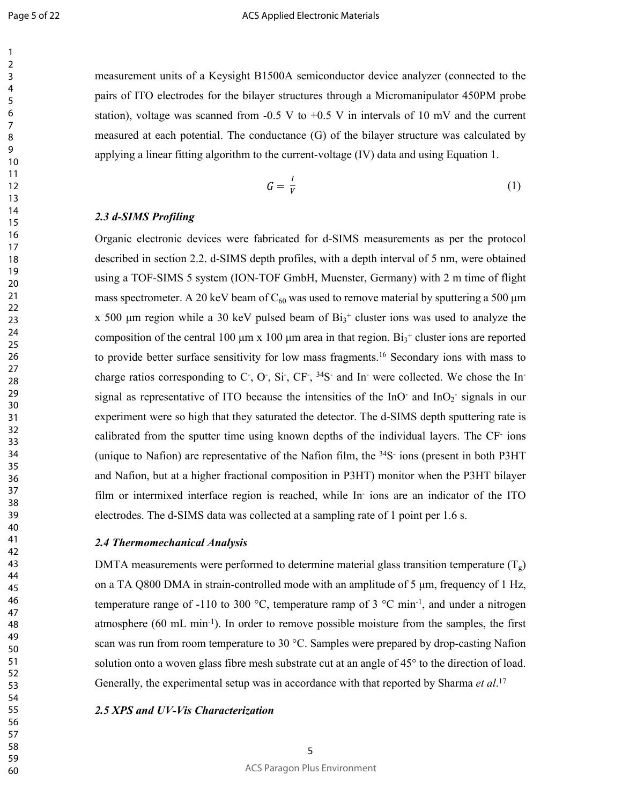Page 5 of 22

#### ACS Applied Electronic Materials

measurement units of a Keysight B1500A semiconductor device analyzer (connected to the pairs of ITO electrodes for the bilayer structures through a Micromanipulator 450PM probe station), voltage was scanned from  $-0.5$  V to  $+0.5$  V in intervals of 10 mV and the current measured at each potential. The conductance (G) of the bilayer structure was calculated by applying a linear fitting algorithm to the current-voltage (IV) data and using Equation 1.

$$
G = \frac{I}{V} \tag{1}
$$

### *2.3 d-SIMS Profiling*

Organic electronic devices were fabricated for d-SIMS measurements as per the protocol described in section 2.2. d-SIMS depth profiles, with a depth interval of 5 nm, were obtained using a TOF-SIMS 5 system (ION-TOF GmbH, Muenster, Germany) with 2 m time of flight mass spectrometer. A 20 keV beam of  $C_{60}$  was used to remove material by sputtering a 500  $\mu$ m x 500  $\mu$ m region while a 30 keV pulsed beam of  $Bi_3^+$  cluster ions was used to analyze the composition of the central 100  $\mu$ m x 100  $\mu$ m area in that region. Bi<sub>3</sub><sup>+</sup> cluster ions are reported to provide better surface sensitivity for low mass fragments.<sup>16</sup> Secondary ions with mass to charge ratios corresponding to  $C$ ,  $O$ ,  $Si$ ,  $CF$ ,  $34S$  and In were collected. We chose the In signal as representative of ITO because the intensities of the InO $\cdot$  and InO<sub>2</sub> $\cdot$  signals in our experiment were so high that they saturated the detector. The d-SIMS depth sputtering rate is calibrated from the sputter time using known depths of the individual layers. The CF- ions (unique to Nafion) are representative of the Nafion film, the  $34S$  ions (present in both P3HT and Nafion, but at a higher fractional composition in P3HT) monitor when the P3HT bilayer film or intermixed interface region is reached, while In- ions are an indicator of the ITO electrodes. The d-SIMS data was collected at a sampling rate of 1 point per 1.6 s.

#### *2.4 Thermomechanical Analysis*

DMTA measurements were performed to determine material glass transition temperature  $(T_g)$ on a TA  $O(800)$  DMA in strain-controlled mode with an amplitude of 5  $\mu$ m, frequency of 1 Hz, temperature range of -110 to 300 °C, temperature ramp of 3 °C min<sup>-1</sup>, and under a nitrogen atmosphere  $(60 \text{ mL min}^{-1})$ . In order to remove possible moisture from the samples, the first scan was run from room temperature to 30 °C. Samples were prepared by drop-casting Nafion solution onto a woven glass fibre mesh substrate cut at an angle of 45° to the direction of load. Generally, the experimental setup was in accordance with that reported by Sharma *et al*. 17

*2.5 XPS and UV-Vis Characterization*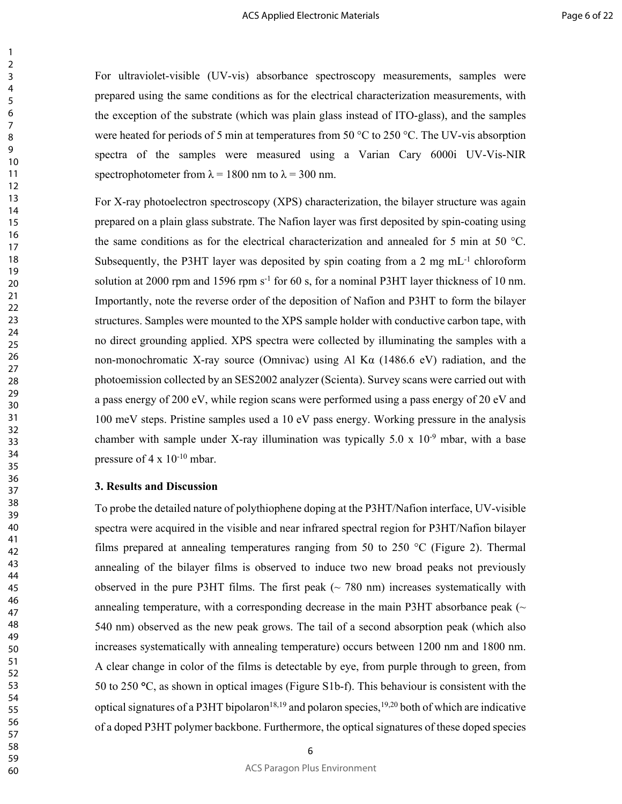For ultraviolet-visible (UV-vis) absorbance spectroscopy measurements, samples were prepared using the same conditions as for the electrical characterization measurements, with the exception of the substrate (which was plain glass instead of ITO-glass), and the samples were heated for periods of 5 min at temperatures from 50  $^{\circ}$ C to 250  $^{\circ}$ C. The UV-vis absorption spectra of the samples were measured using a Varian Cary 6000i UV-Vis-NIR spectrophotometer from  $\lambda = 1800$  nm to  $\lambda = 300$  nm.

For X-ray photoelectron spectroscopy (XPS) characterization, the bilayer structure was again prepared on a plain glass substrate. The Nafion layer was first deposited by spin-coating using the same conditions as for the electrical characterization and annealed for 5 min at 50 °C. Subsequently, the P3HT layer was deposited by spin coating from a  $2 \text{ mg } \text{mL}^{-1}$  chloroform solution at 2000 rpm and 1596 rpm  $s<sup>-1</sup>$  for 60 s, for a nominal P3HT layer thickness of 10 nm. Importantly, note the reverse order of the deposition of Nafion and P3HT to form the bilayer structures. Samples were mounted to the XPS sample holder with conductive carbon tape, with no direct grounding applied. XPS spectra were collected by illuminating the samples with a non-monochromatic X-ray source (Omnivac) using Al  $K\alpha$  (1486.6 eV) radiation, and the photoemission collected by an SES2002 analyzer (Scienta). Survey scans were carried out with a pass energy of 200 eV, while region scans were performed using a pass energy of 20 eV and 100 meV steps. Pristine samples used a 10 eV pass energy. Working pressure in the analysis chamber with sample under X-ray illumination was typically  $5.0 \times 10^{-9}$  mbar, with a base pressure of 4 x 10-10 mbar.

# **3. Results and Discussion**

To probe the detailed nature of polythiophene doping at the P3HT/Nafion interface, UV-visible spectra were acquired in the visible and near infrared spectral region for P3HT/Nafion bilayer films prepared at annealing temperatures ranging from 50 to 250 °C (Figure 2). Thermal annealing of the bilayer films is observed to induce two new broad peaks not previously observed in the pure P3HT films. The first peak ( $\sim$  780 nm) increases systematically with annealing temperature, with a corresponding decrease in the main P3HT absorbance peak ( $\sim$ 540 nm) observed as the new peak grows. The tail of a second absorption peak (which also increases systematically with annealing temperature) occurs between 1200 nm and 1800 nm. A clear change in color of the films is detectable by eye, from purple through to green, from 50 to 250 °C, as shown in optical images (Figure S1b-f). This behaviour is consistent with the optical signatures of a P3HT bipolaron<sup>18,19</sup> and polaron species,<sup>19,20</sup> both of which are indicative of a doped P3HT polymer backbone. Furthermore, the optical signatures of these doped species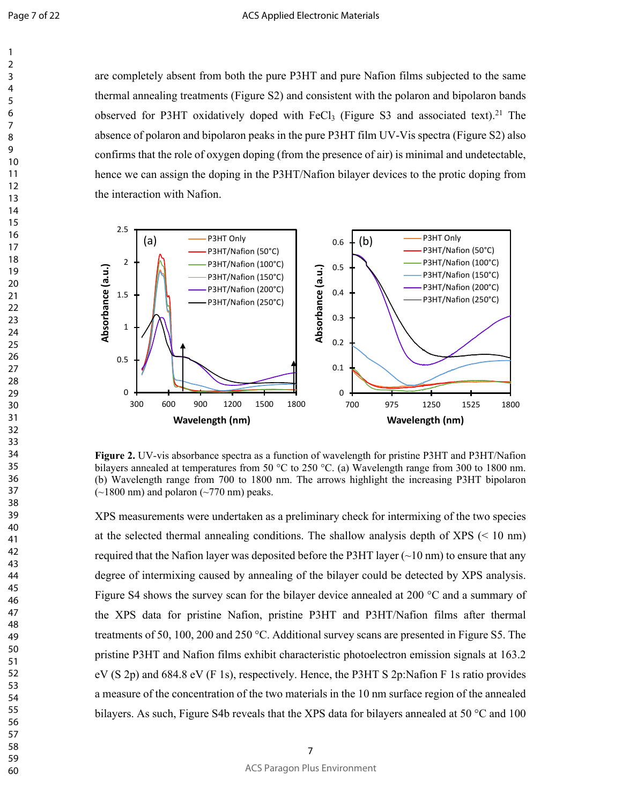are completely absent from both the pure P3HT and pure Nafion films subjected to the same thermal annealing treatments (Figure S2) and consistent with the polaron and bipolaron bands observed for P3HT oxidatively doped with FeCl<sub>3</sub> (Figure S3 and associated text).<sup>21</sup> The absence of polaron and bipolaron peaks in the pure P3HT film UV-Vis spectra (Figure S2) also confirms that the role of oxygen doping (from the presence of air) is minimal and undetectable, hence we can assign the doping in the P3HT/Nafion bilayer devices to the protic doping from the interaction with Nafion.



**Figure 2.** UV-vis absorbance spectra as a function of wavelength for pristine P3HT and P3HT/Nafion bilayers annealed at temperatures from 50 °C to 250 °C. (a) Wavelength range from 300 to 1800 nm. (b) Wavelength range from 700 to 1800 nm. The arrows highlight the increasing P3HT bipolaron  $(-1800 \text{ nm})$  and polaron  $(-770 \text{ nm})$  peaks.

XPS measurements were undertaken as a preliminary check for intermixing of the two species at the selected thermal annealing conditions. The shallow analysis depth of XPS (< 10 nm) required that the Nafion layer was deposited before the P3HT layer  $(\sim 10 \text{ nm})$  to ensure that any degree of intermixing caused by annealing of the bilayer could be detected by XPS analysis. Figure S4 shows the survey scan for the bilayer device annealed at 200 °C and a summary of the XPS data for pristine Nafion, pristine P3HT and P3HT/Nafion films after thermal treatments of 50, 100, 200 and 250 °C. Additional survey scans are presented in Figure S5. The pristine P3HT and Nafion films exhibit characteristic photoelectron emission signals at 163.2 eV (S 2p) and 684.8 eV (F 1s), respectively. Hence, the P3HT S 2p:Nafion F 1s ratio provides a measure of the concentration of the two materials in the 10 nm surface region of the annealed bilayers. As such, Figure S4b reveals that the XPS data for bilayers annealed at 50 °C and 100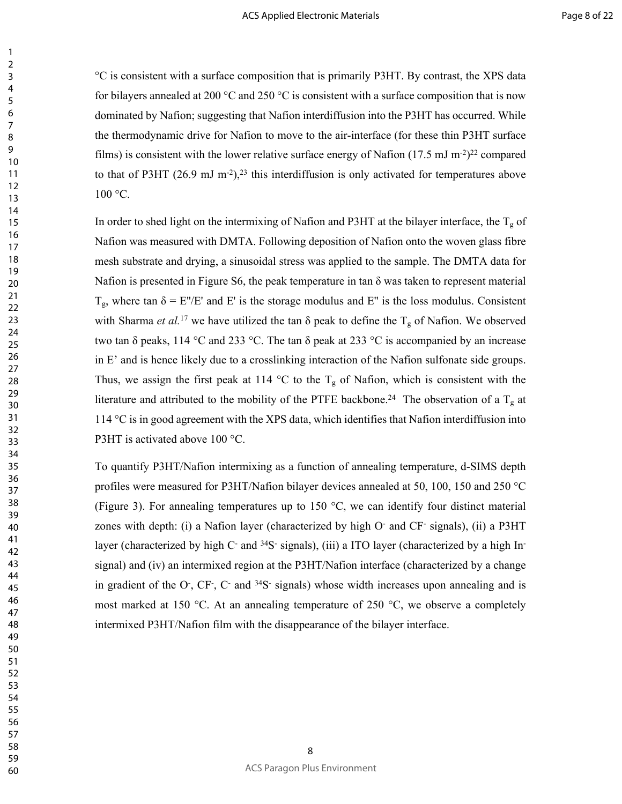°C is consistent with a surface composition that is primarily P3HT. By contrast, the XPS data for bilayers annealed at 200 °C and 250 °C is consistent with a surface composition that is now dominated by Nafion; suggesting that Nafion interdiffusion into the P3HT has occurred. While the thermodynamic drive for Nafion to move to the air-interface (for these thin P3HT surface films) is consistent with the lower relative surface energy of Nafion  $(17.5 \text{ mJ m}^{-2})^{22}$  compared to that of P3HT (26.9 mJ m<sup>-2</sup>),<sup>23</sup> this interdiffusion is only activated for temperatures above 100 °C.

In order to shed light on the intermixing of Nafion and P3HT at the bilayer interface, the  $T_g$  of Nafion was measured with DMTA. Following deposition of Nafion onto the woven glass fibre mesh substrate and drying, a sinusoidal stress was applied to the sample. The DMTA data for Nafion is presented in Figure S6, the peak temperature in tan  $\delta$  was taken to represent material  $T_g$ , where tan  $\delta = E'/E'$  and E' is the storage modulus and E'' is the loss modulus. Consistent with Sharma *et al.*<sup>17</sup> we have utilized the tan  $\delta$  peak to define the T<sub>g</sub> of Nafion. We observed two tan  $\delta$  peaks, 114 °C and 233 °C. The tan  $\delta$  peak at 233 °C is accompanied by an increase in E' and is hence likely due to a crosslinking interaction of the Nafion sulfonate side groups. Thus, we assign the first peak at 114 °C to the  $T_g$  of Nafion, which is consistent with the literature and attributed to the mobility of the PTFE backbone.<sup>24</sup> The observation of a T<sub>g</sub> at 114 °C is in good agreement with the XPS data, which identifies that Nafion interdiffusion into P3HT is activated above 100 °C.

To quantify P3HT/Nafion intermixing as a function of annealing temperature, d-SIMS depth profiles were measured for P3HT/Nafion bilayer devices annealed at 50, 100, 150 and 250 °C (Figure 3). For annealing temperatures up to 150  $\degree$ C, we can identify four distinct material zones with depth: (i) a Nafion layer (characterized by high O and CF signals), (ii) a P3HT layer (characterized by high C<sup>-</sup> and <sup>34</sup>S<sup>-</sup> signals), (iii) a ITO layer (characterized by a high In<sup>-</sup> signal) and (iv) an intermixed region at the P3HT/Nafion interface (characterized by a change in gradient of the  $O^{\cdot}$ ,  $CF^{\cdot}$ ,  $C^{\cdot}$  and  $34S^{\cdot}$  signals) whose width increases upon annealing and is most marked at 150 °C. At an annealing temperature of 250 °C, we observe a completely intermixed P3HT/Nafion film with the disappearance of the bilayer interface.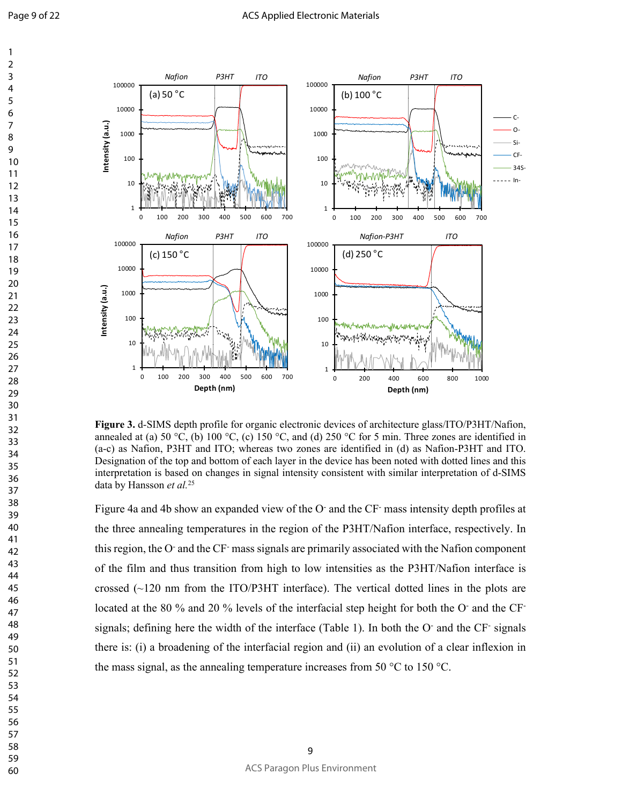

**Figure 3.** d-SIMS depth profile for organic electronic devices of architecture glass/ITO/P3HT/Nafion, annealed at (a) 50 °C, (b) 100 °C, (c) 150 °C, and (d) 250 °C for 5 min. Three zones are identified in (a-c) as Nafion, P3HT and ITO; whereas two zones are identified in (d) as Nafion-P3HT and ITO. Designation of the top and bottom of each layer in the device has been noted with dotted lines and this interpretation is based on changes in signal intensity consistent with similar interpretation of d-SIMS data by Hansson *et al.*<sup>25</sup>

Figure 4a and 4b show an expanded view of the O and the CF mass intensity depth profiles at the three annealing temperatures in the region of the P3HT/Nafion interface, respectively. In this region, the O- and the CF- mass signals are primarily associated with the Nafion component of the film and thus transition from high to low intensities as the P3HT/Nafion interface is crossed  $(\sim]$ 120 nm from the ITO/P3HT interface). The vertical dotted lines in the plots are located at the 80 % and 20 % levels of the interfacial step height for both the O and the CFsignals; defining here the width of the interface (Table 1). In both the O and the CF signals there is: (i) a broadening of the interfacial region and (ii) an evolution of a clear inflexion in the mass signal, as the annealing temperature increases from 50  $\degree$ C to 150  $\degree$ C.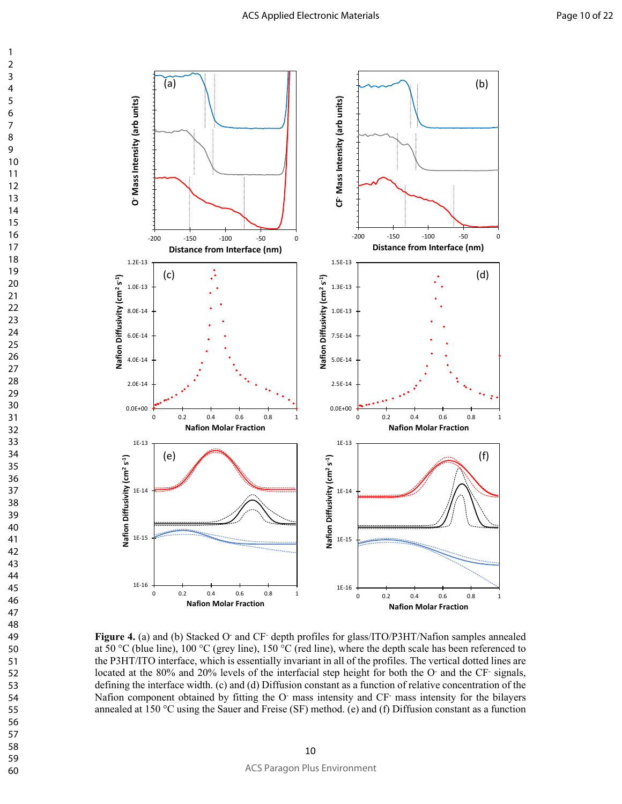

Figure 4. (a) and (b) Stacked O<sup>-</sup> and CF<sup>-</sup> depth profiles for glass/ITO/P3HT/Nafion samples annealed at 50 °C (blue line), 100 °C (grey line), 150 °C (red line), where the depth scale has been referenced to the P3HT/ITO interface, which is essentially invariant in all of the profiles. The vertical dotted lines are located at the 80% and 20% levels of the interfacial step height for both the O and the CF signals, defining the interface width. (c) and (d) Diffusion constant as a function of relative concentration of the Nafion component obtained by fitting the O mass intensity and CF mass intensity for the bilayers annealed at 150 °C using the Sauer and Freise (SF) method. (e) and (f) Diffusion constant as a function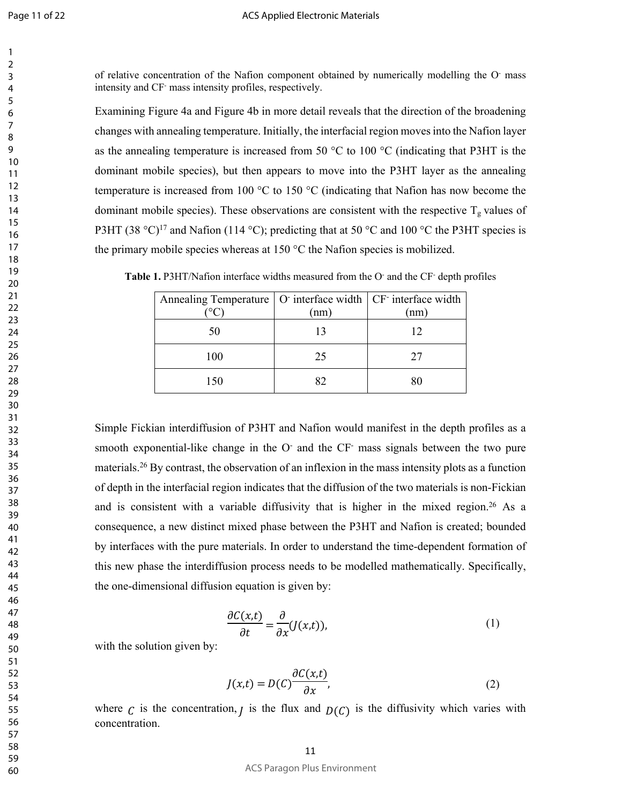of relative concentration of the Nafion component obtained by numerically modelling the O mass intensity and CF- mass intensity profiles, respectively.

Examining Figure 4a and Figure 4b in more detail reveals that the direction of the broadening changes with annealing temperature. Initially, the interfacial region moves into the Nafion layer as the annealing temperature is increased from 50 °C to 100 °C (indicating that P3HT is the dominant mobile species), but then appears to move into the P3HT layer as the annealing temperature is increased from 100  $\degree$ C to 150  $\degree$ C (indicating that Nafion has now become the dominant mobile species). These observations are consistent with the respective  $T_g$  values of P3HT (38 °C)<sup>17</sup> and Nafion (114 °C); predicting that at 50 °C and 100 °C the P3HT species is the primary mobile species whereas at 150 °C the Nafion species is mobilized.

| Annealing Temperature   O interface width   CF interface width |      |      |  |
|----------------------------------------------------------------|------|------|--|
|                                                                | (nm) | (nm) |  |
| 50                                                             |      |      |  |
| 100                                                            | 25   | 27   |  |
| 150                                                            | 82   | 80   |  |

Table 1. P3HT/Nafion interface widths measured from the O and the CF depth profiles

Simple Fickian interdiffusion of P3HT and Nafion would manifest in the depth profiles as a smooth exponential-like change in the O and the CF mass signals between the two pure materials.<sup>26</sup> By contrast, the observation of an inflexion in the mass intensity plots as a function of depth in the interfacial region indicates that the diffusion of the two materials is non-Fickian and is consistent with a variable diffusivity that is higher in the mixed region.<sup>26</sup> As a consequence, a new distinct mixed phase between the P3HT and Nafion is created; bounded by interfaces with the pure materials. In order to understand the time-dependent formation of this new phase the interdiffusion process needs to be modelled mathematically. Specifically, the one-dimensional diffusion equation is given by:

$$
\frac{\partial C(x,t)}{\partial t} = \frac{\partial}{\partial x}(J(x,t)),\tag{1}
$$

with the solution given by:

$$
J(x,t) = D(C) \frac{\partial C(x,t)}{\partial x},
$$
\n(2)

where  $\hat{C}$  is the concentration,  $\hat{I}$  is the flux and  $\hat{D}(C)$  is the diffusivity which varies with concentration.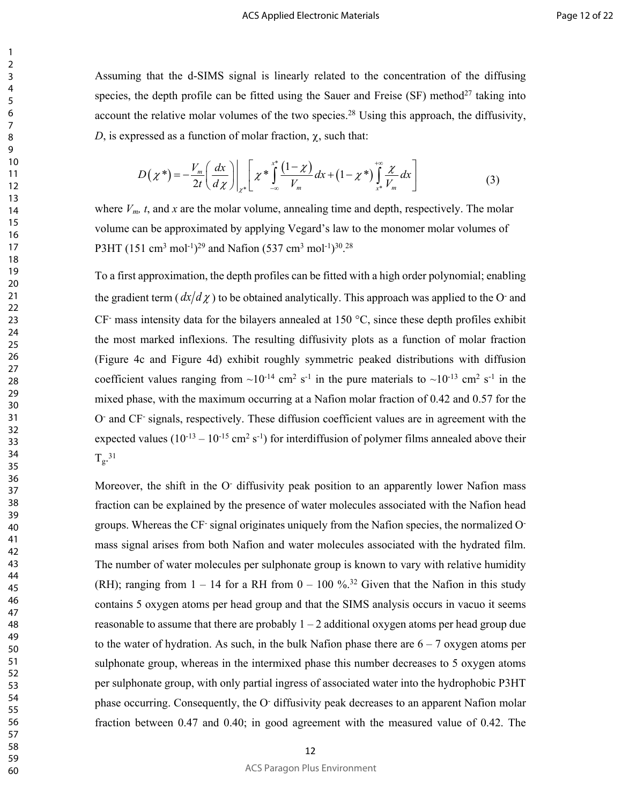Assuming that the d-SIMS signal is linearly related to the concentration of the diffusing species, the depth profile can be fitted using the Sauer and Freise  $(SF)$  method<sup>27</sup> taking into account the relative molar volumes of the two species.<sup>28</sup> Using this approach, the diffusivity, *D*, is expressed as a function of molar fraction,  $\gamma$ , such that:

$$
D(\chi^*) = -\frac{V_m}{2t} \left(\frac{dx}{d\chi}\right)\bigg|_{\chi^*} \left[\chi^* \int\limits_{-\infty}^{x^*} \frac{(1-\chi)}{V_m} dx + (1-\chi^*) \int\limits_{x^*}^{+\infty} \frac{\chi}{V_m} dx\right]
$$
(3)

where  $V_m$ ,  $t$ , and  $x$  are the molar volume, annealing time and depth, respectively. The molar volume can be approximated by applying Vegard's law to the monomer molar volumes of P3HT (151 cm<sup>3</sup> mol<sup>-1</sup>)<sup>29</sup> and Nafion (537 cm<sup>3</sup> mol<sup>-1</sup>)<sup>30</sup>.<sup>28</sup>

To a first approximation, the depth profiles can be fitted with a high order polynomial; enabling the gradient term ( $dx/d\chi$ ) to be obtained analytically. This approach was applied to the O<sup>-</sup> and CF- mass intensity data for the bilayers annealed at 150 °C, since these depth profiles exhibit the most marked inflexions. The resulting diffusivity plots as a function of molar fraction (Figure 4c and Figure 4d) exhibit roughly symmetric peaked distributions with diffusion coefficient values ranging from  $\sim 10^{-14}$  cm<sup>2</sup> s<sup>-1</sup> in the pure materials to  $\sim 10^{-13}$  cm<sup>2</sup> s<sup>-1</sup> in the mixed phase, with the maximum occurring at a Nafion molar fraction of 0.42 and 0.57 for the O- and CF-signals, respectively. These diffusion coefficient values are in agreement with the expected values  $(10^{-13} - 10^{-15} \text{ cm}^2 \text{ s}^{-1})$  for interdiffusion of polymer films annealed above their  $T_{\rm g}$ .<sup>31</sup>

Moreover, the shift in the O diffusivity peak position to an apparently lower Nafion mass fraction can be explained by the presence of water molecules associated with the Nafion head groups. Whereas the CF signal originates uniquely from the Nafion species, the normalized O mass signal arises from both Nafion and water molecules associated with the hydrated film. The number of water molecules per sulphonate group is known to vary with relative humidity (RH); ranging from  $1 - 14$  for a RH from  $0 - 100\%$ .<sup>32</sup> Given that the Nafion in this study contains 5 oxygen atoms per head group and that the SIMS analysis occurs in vacuo it seems reasonable to assume that there are probably  $1 - 2$  additional oxygen atoms per head group due to the water of hydration. As such, in the bulk Nafion phase there are  $6 - 7$  oxygen atoms per sulphonate group, whereas in the intermixed phase this number decreases to 5 oxygen atoms per sulphonate group, with only partial ingress of associated water into the hydrophobic P3HT phase occurring. Consequently, the O- diffusivity peak decreases to an apparent Nafion molar fraction between 0.47 and 0.40; in good agreement with the measured value of 0.42. The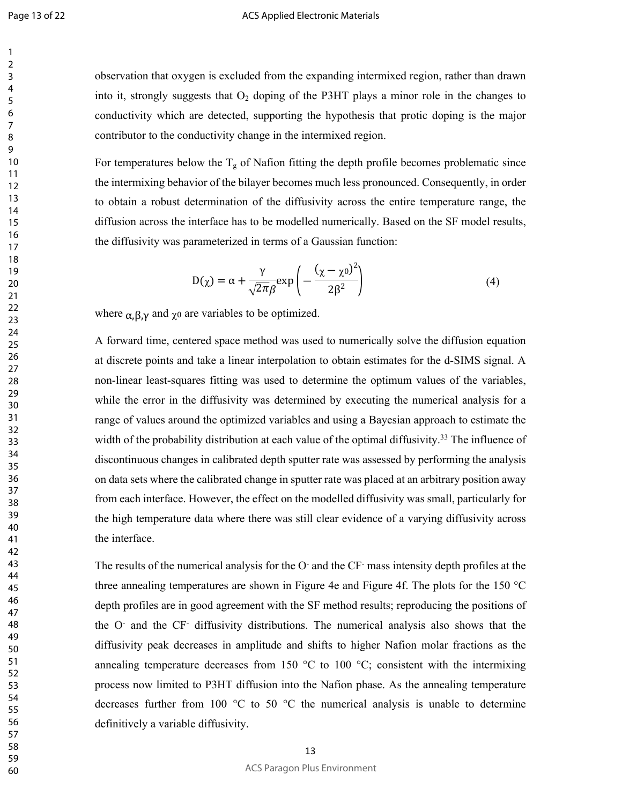observation that oxygen is excluded from the expanding intermixed region, rather than drawn into it, strongly suggests that  $O_2$  doping of the P3HT plays a minor role in the changes to conductivity which are detected, supporting the hypothesis that protic doping is the major contributor to the conductivity change in the intermixed region.

For temperatures below the  $T_g$  of Nafion fitting the depth profile becomes problematic since the intermixing behavior of the bilayer becomes much less pronounced. Consequently, in order to obtain a robust determination of the diffusivity across the entire temperature range, the diffusion across the interface has to be modelled numerically. Based on the SF model results, the diffusivity was parameterized in terms of a Gaussian function:

$$
D(\chi) = \alpha + \frac{\gamma}{\sqrt{2\pi}\beta} \exp\left(-\frac{(\chi - \chi_0)^2}{2\beta^2}\right)
$$
(4)

where  $\alpha, \beta, \gamma$  and  $\gamma$ <sup>0</sup> are variables to be optimized.

A forward time, centered space method was used to numerically solve the diffusion equation at discrete points and take a linear interpolation to obtain estimates for the d-SIMS signal. A non-linear least-squares fitting was used to determine the optimum values of the variables, while the error in the diffusivity was determined by executing the numerical analysis for a range of values around the optimized variables and using a Bayesian approach to estimate the width of the probability distribution at each value of the optimal diffusivity.<sup>33</sup> The influence of discontinuous changes in calibrated depth sputter rate was assessed by performing the analysis on data sets where the calibrated change in sputter rate was placed at an arbitrary position away from each interface. However, the effect on the modelled diffusivity was small, particularly for the high temperature data where there was still clear evidence of a varying diffusivity across the interface.

The results of the numerical analysis for the O and the CF mass intensity depth profiles at the three annealing temperatures are shown in Figure 4e and Figure 4f. The plots for the 150 °C depth profiles are in good agreement with the SF method results; reproducing the positions of the O- and the CF- diffusivity distributions. The numerical analysis also shows that the diffusivity peak decreases in amplitude and shifts to higher Nafion molar fractions as the annealing temperature decreases from 150  $\degree$ C to 100  $\degree$ C; consistent with the intermixing process now limited to P3HT diffusion into the Nafion phase. As the annealing temperature decreases further from 100 °C to 50 °C the numerical analysis is unable to determine definitively a variable diffusivity.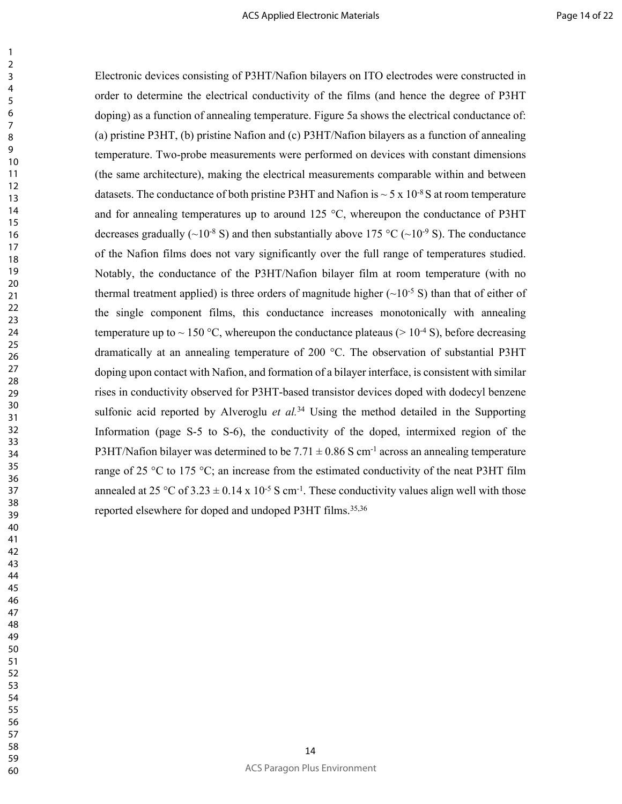Electronic devices consisting of P3HT/Nafion bilayers on ITO electrodes were constructed in order to determine the electrical conductivity of the films (and hence the degree of P3HT doping) as a function of annealing temperature. Figure 5a shows the electrical conductance of: (a) pristine P3HT, (b) pristine Nafion and (c) P3HT/Nafion bilayers as a function of annealing temperature. Two-probe measurements were performed on devices with constant dimensions (the same architecture), making the electrical measurements comparable within and between datasets. The conductance of both pristine P3HT and Nafion is  $\sim$  5 x 10<sup>-8</sup> S at room temperature and for annealing temperatures up to around 125 °C, whereupon the conductance of P3HT decreases gradually ( $\sim 10^{-8}$  S) and then substantially above 175 °C ( $\sim 10^{-9}$  S). The conductance of the Nafion films does not vary significantly over the full range of temperatures studied. Notably, the conductance of the P3HT/Nafion bilayer film at room temperature (with no thermal treatment applied) is three orders of magnitude higher  $(\sim 10^{-5} S)$  than that of either of the single component films, this conductance increases monotonically with annealing temperature up to  $\sim 150$  °C, whereupon the conductance plateaus ( $> 10^{-4}$  S), before decreasing dramatically at an annealing temperature of 200 °C. The observation of substantial P3HT doping upon contact with Nafion, and formation of a bilayer interface, is consistent with similar rises in conductivity observed for P3HT-based transistor devices doped with dodecyl benzene sulfonic acid reported by Alveroglu *et al.*<sup>34</sup> Using the method detailed in the Supporting Information (page S-5 to S-6), the conductivity of the doped, intermixed region of the P3HT/Nafion bilayer was determined to be  $7.71 \pm 0.86$  S cm<sup>-1</sup> across an annealing temperature range of 25 °C to 175 °C; an increase from the estimated conductivity of the neat P3HT film annealed at 25 °C of 3.23  $\pm$  0.14 x 10<sup>-5</sup> S cm<sup>-1</sup>. These conductivity values align well with those reported elsewhere for doped and undoped P3HT films.35,36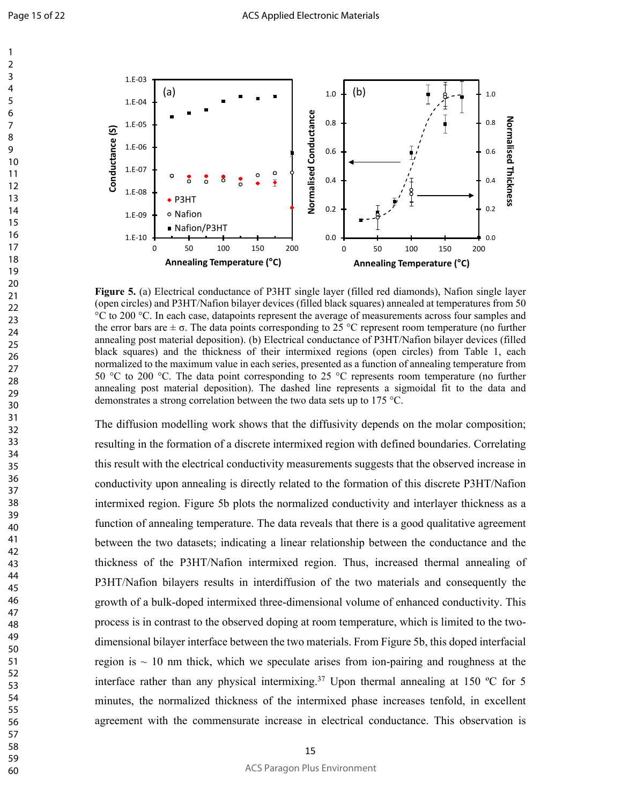

**Figure 5.** (a) Electrical conductance of P3HT single layer (filled red diamonds), Nafion single layer (open circles) and P3HT/Nafion bilayer devices (filled black squares) annealed at temperatures from 50 °C to 200 °C. In each case, datapoints represent the average of measurements across four samples and the error bars are  $\pm \sigma$ . The data points corresponding to 25 °C represent room temperature (no further annealing post material deposition). (b) Electrical conductance of P3HT/Nafion bilayer devices (filled black squares) and the thickness of their intermixed regions (open circles) from Table 1, each normalized to the maximum value in each series, presented as a function of annealing temperature from 50 °C to 200 °C. The data point corresponding to 25 °C represents room temperature (no further annealing post material deposition). The dashed line represents a sigmoidal fit to the data and demonstrates a strong correlation between the two data sets up to 175 °C.

The diffusion modelling work shows that the diffusivity depends on the molar composition; resulting in the formation of a discrete intermixed region with defined boundaries. Correlating this result with the electrical conductivity measurements suggests that the observed increase in conductivity upon annealing is directly related to the formation of this discrete P3HT/Nafion intermixed region. Figure 5b plots the normalized conductivity and interlayer thickness as a function of annealing temperature. The data reveals that there is a good qualitative agreement between the two datasets; indicating a linear relationship between the conductance and the thickness of the P3HT/Nafion intermixed region. Thus, increased thermal annealing of P3HT/Nafion bilayers results in interdiffusion of the two materials and consequently the growth of a bulk-doped intermixed three-dimensional volume of enhanced conductivity. This process is in contrast to the observed doping at room temperature, which is limited to the twodimensional bilayer interface between the two materials. From Figure 5b, this doped interfacial region is  $\sim$  10 nm thick, which we speculate arises from ion-pairing and roughness at the interface rather than any physical intermixing.<sup>37</sup> Upon thermal annealing at 150 °C for 5 minutes, the normalized thickness of the intermixed phase increases tenfold, in excellent agreement with the commensurate increase in electrical conductance. This observation is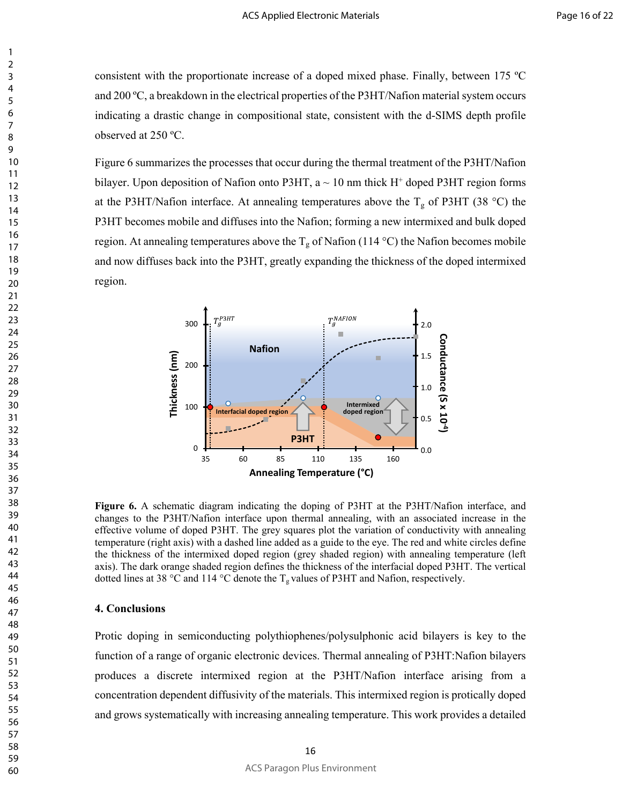consistent with the proportionate increase of a doped mixed phase. Finally, between 175 ºC and 200 ºC, a breakdown in the electrical properties of the P3HT/Nafion material system occurs indicating a drastic change in compositional state, consistent with the d-SIMS depth profile observed at 250 ºC.

Figure 6 summarizes the processes that occur during the thermal treatment of the P3HT/Nafion bilayer. Upon deposition of Nafion onto P3HT,  $a \sim 10$  nm thick H<sup>+</sup> doped P3HT region forms at the P3HT/Nafion interface. At annealing temperatures above the  $T_g$  of P3HT (38 °C) the P3HT becomes mobile and diffuses into the Nafion; forming a new intermixed and bulk doped region. At annealing temperatures above the  $T_g$  of Nafion (114 °C) the Nafion becomes mobile and now diffuses back into the P3HT, greatly expanding the thickness of the doped intermixed region.



**Figure 6.** A schematic diagram indicating the doping of P3HT at the P3HT/Nafion interface, and changes to the P3HT/Nafion interface upon thermal annealing, with an associated increase in the effective volume of doped P3HT. The grey squares plot the variation of conductivity with annealing temperature (right axis) with a dashed line added as a guide to the eye. The red and white circles define the thickness of the intermixed doped region (grey shaded region) with annealing temperature (left axis). The dark orange shaded region defines the thickness of the interfacial doped P3HT. The vertical dotted lines at 38 °C and 114 °C denote the  $T_g$  values of P3HT and Nafion, respectively.

#### **4. Conclusions**

Protic doping in semiconducting polythiophenes/polysulphonic acid bilayers is key to the function of a range of organic electronic devices. Thermal annealing of P3HT:Nafion bilayers produces a discrete intermixed region at the P3HT/Nafion interface arising from a concentration dependent diffusivity of the materials. This intermixed region is protically doped and grows systematically with increasing annealing temperature. This work provides a detailed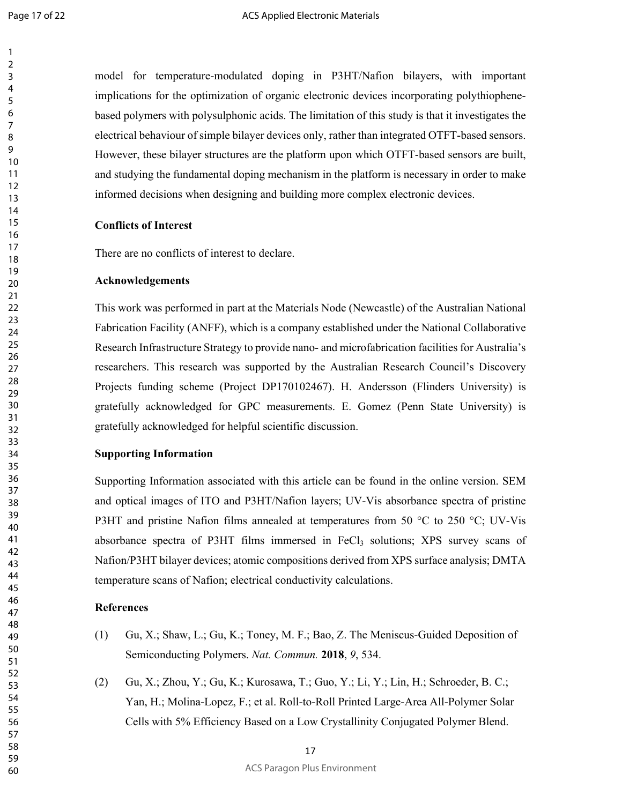model for temperature-modulated doping in P3HT/Nafion bilayers, with important implications for the optimization of organic electronic devices incorporating polythiophenebased polymers with polysulphonic acids. The limitation of this study is that it investigates the electrical behaviour of simple bilayer devices only, rather than integrated OTFT-based sensors. However, these bilayer structures are the platform upon which OTFT-based sensors are built, and studying the fundamental doping mechanism in the platform is necessary in order to make informed decisions when designing and building more complex electronic devices.

# **Conflicts of Interest**

There are no conflicts of interest to declare.

# **Acknowledgements**

This work was performed in part at the Materials Node (Newcastle) of the Australian National Fabrication Facility (ANFF), which is a company established under the National Collaborative Research Infrastructure Strategy to provide nano- and microfabrication facilities for Australia's researchers. This research was supported by the Australian Research Council's Discovery Projects funding scheme (Project DP170102467). H. Andersson (Flinders University) is gratefully acknowledged for GPC measurements. E. Gomez (Penn State University) is gratefully acknowledged for helpful scientific discussion.

# **Supporting Information**

Supporting Information associated with this article can be found in the online version. SEM and optical images of ITO and P3HT/Nafion layers; UV-Vis absorbance spectra of pristine P3HT and pristine Nafion films annealed at temperatures from 50 °C to 250 °C; UV-Vis absorbance spectra of P3HT films immersed in FeCl3 solutions; XPS survey scans of Nafion/P3HT bilayer devices; atomic compositions derived from XPS surface analysis; DMTA temperature scans of Nafion; electrical conductivity calculations.

# **References**

- (1) Gu, X.; Shaw, L.; Gu, K.; Toney, M. F.; Bao, Z. The Meniscus-Guided Deposition of Semiconducting Polymers. *Nat. Commun.* **2018**, *9*, 534.
- (2) Gu, X.; Zhou, Y.; Gu, K.; Kurosawa, T.; Guo, Y.; Li, Y.; Lin, H.; Schroeder, B. C.; Yan, H.; Molina-Lopez, F.; et al. Roll-to-Roll Printed Large-Area All-Polymer Solar Cells with 5% Efficiency Based on a Low Crystallinity Conjugated Polymer Blend.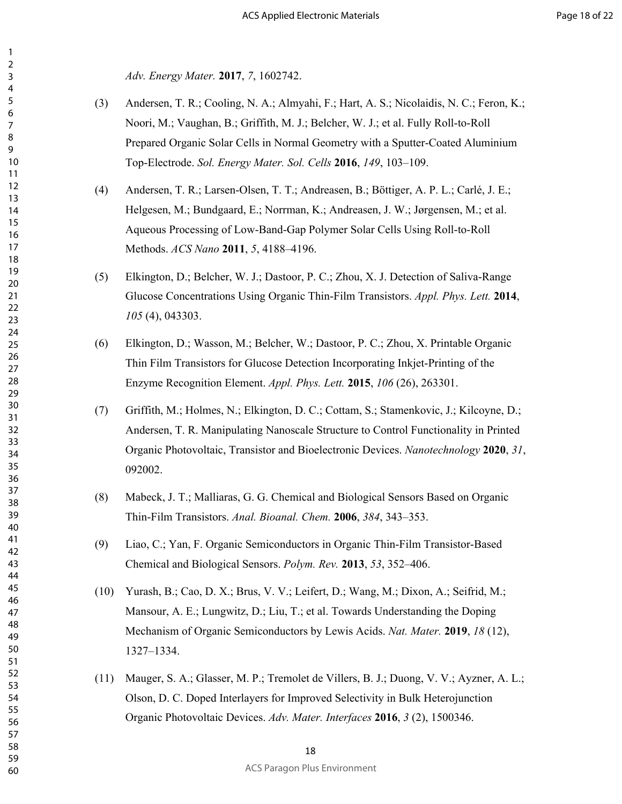*Adv. Energy Mater.* **2017**, *7*, 1602742.

- (3) Andersen, T. R.; Cooling, N. A.; Almyahi, F.; Hart, A. S.; Nicolaidis, N. C.; Feron, K.; Noori, M.; Vaughan, B.; Griffith, M. J.; Belcher, W. J.; et al. Fully Roll-to-Roll Prepared Organic Solar Cells in Normal Geometry with a Sputter-Coated Aluminium Top-Electrode. *Sol. Energy Mater. Sol. Cells* **2016**, *149*, 103–109.
- (4) Andersen, T. R.; Larsen-Olsen, T. T.; Andreasen, B.; Böttiger, A. P. L.; Carlé, J. E.; Helgesen, M.; Bundgaard, E.; Norrman, K.; Andreasen, J. W.; Jørgensen, M.; et al. Aqueous Processing of Low-Band-Gap Polymer Solar Cells Using Roll-to-Roll Methods. *ACS Nano* **2011**, *5*, 4188–4196.
- (5) Elkington, D.; Belcher, W. J.; Dastoor, P. C.; Zhou, X. J. Detection of Saliva-Range Glucose Concentrations Using Organic Thin-Film Transistors. *Appl. Phys. Lett.* **2014**, (4), 043303.
- (6) Elkington, D.; Wasson, M.; Belcher, W.; Dastoor, P. C.; Zhou, X. Printable Organic Thin Film Transistors for Glucose Detection Incorporating Inkjet-Printing of the Enzyme Recognition Element. *Appl. Phys. Lett.* **2015**, *106* (26), 263301.
- (7) Griffith, M.; Holmes, N.; Elkington, D. C.; Cottam, S.; Stamenkovic, J.; Kilcoyne, D.; Andersen, T. R. Manipulating Nanoscale Structure to Control Functionality in Printed Organic Photovoltaic, Transistor and Bioelectronic Devices. *Nanotechnology* **2020**, *31*, 092002.
- (8) Mabeck, J. T.; Malliaras, G. G. Chemical and Biological Sensors Based on Organic Thin-Film Transistors. *Anal. Bioanal. Chem.* **2006**, *384*, 343–353.
- (9) Liao, C.; Yan, F. Organic Semiconductors in Organic Thin-Film Transistor-Based Chemical and Biological Sensors. *Polym. Rev.* **2013**, *53*, 352–406.
- (10) Yurash, B.; Cao, D. X.; Brus, V. V.; Leifert, D.; Wang, M.; Dixon, A.; Seifrid, M.; Mansour, A. E.; Lungwitz, D.; Liu, T.; et al. Towards Understanding the Doping Mechanism of Organic Semiconductors by Lewis Acids. *Nat. Mater.* **2019**, *18* (12), 1327–1334.
- (11) Mauger, S. A.; Glasser, M. P.; Tremolet de Villers, B. J.; Duong, V. V.; Ayzner, A. L.; Olson, D. C. Doped Interlayers for Improved Selectivity in Bulk Heterojunction Organic Photovoltaic Devices. *Adv. Mater. Interfaces* **2016**, *3* (2), 1500346.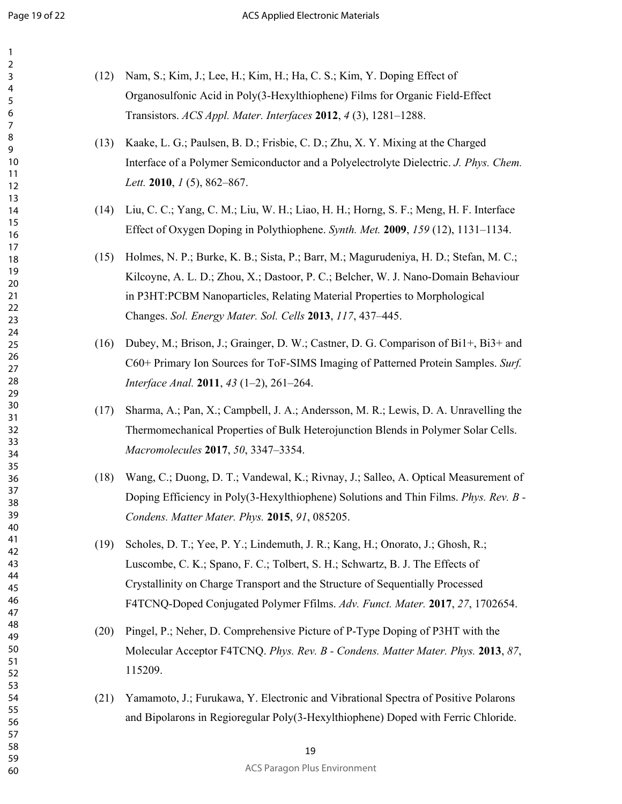| $\overline{2}$   |      |                                                                                       |
|------------------|------|---------------------------------------------------------------------------------------|
| 3                | (12) | Nam, S.; Kim, J.; Lee, H.; Kim, H.; Ha, C. S.; Kim, Y. Doping Effect of               |
| 4                |      |                                                                                       |
| 5                |      | Organosulfonic Acid in Poly(3-Hexylthiophene) Films for Organic Field-Effect          |
| 6                |      | Transistors. ACS Appl. Mater. Interfaces 2012, 4 (3), 1281-1288.                      |
| $\boldsymbol{7}$ |      |                                                                                       |
| 8                |      |                                                                                       |
| 9                | (13) | Kaake, L. G.; Paulsen, B. D.; Frisbie, C. D.; Zhu, X. Y. Mixing at the Charged        |
| 10               |      | Interface of a Polymer Semiconductor and a Polyelectrolyte Dielectric. J. Phys. Chem. |
| 11               |      |                                                                                       |
| 12               |      | Lett. 2010, 1(5), 862-867.                                                            |
| 13               |      |                                                                                       |
| 14               | (14) | Liu, C. C.; Yang, C. M.; Liu, W. H.; Liao, H. H.; Horng, S. F.; Meng, H. F. Interface |
| 15               |      |                                                                                       |
| 16               |      | Effect of Oxygen Doping in Polythiophene. Synth. Met. 2009, 159 (12), 1131-1134.      |
| 17               |      |                                                                                       |
|                  | (15) | Holmes, N. P.; Burke, K. B.; Sista, P.; Barr, M.; Magurudeniya, H. D.; Stefan, M. C.; |
| 18               |      |                                                                                       |
| 19               |      | Kilcoyne, A. L. D.; Zhou, X.; Dastoor, P. C.; Belcher, W. J. Nano-Domain Behaviour    |
| 20               |      |                                                                                       |
| 21               |      | in P3HT:PCBM Nanoparticles, Relating Material Properties to Morphological             |
| 22               |      | Changes. Sol. Energy Mater. Sol. Cells 2013, 117, 437-445.                            |
| 23               |      |                                                                                       |
| 24               | (16) | Dubey, M.; Brison, J.; Grainger, D. W.; Castner, D. G. Comparison of Bi1+, Bi3+ and   |
| 25               |      |                                                                                       |
| 26               |      | C60+ Primary Ion Sources for ToF-SIMS Imaging of Patterned Protein Samples. Surf.     |
| 27               |      |                                                                                       |
| 28               |      | Interface Anal. 2011, 43 (1-2), 261-264.                                              |
| 29               |      |                                                                                       |
| 30               | (17) | Sharma, A.; Pan, X.; Campbell, J. A.; Andersson, M. R.; Lewis, D. A. Unravelling the  |
| 31               |      |                                                                                       |
| 32               |      | Thermomechanical Properties of Bulk Heterojunction Blends in Polymer Solar Cells.     |
| 33               |      | Macromolecules 2017, 50, 3347-3354.                                                   |
| 34               |      |                                                                                       |
| 35               | (18) | Wang, C.; Duong, D. T.; Vandewal, K.; Rivnay, J.; Salleo, A. Optical Measurement of   |
| 36               |      |                                                                                       |
| 37               |      | Doping Efficiency in Poly(3-Hexylthiophene) Solutions and Thin Films. Phys. Rev. B -  |
| 38<br>39         |      |                                                                                       |
| 40               |      | Condens. Matter Mater. Phys. 2015, 91, 085205.                                        |
| 41               |      |                                                                                       |
| 42               | (19) | Scholes, D. T.; Yee, P. Y.; Lindemuth, J. R.; Kang, H.; Onorato, J.; Ghosh, R.;       |
| 43               |      | Luscombe, C. K.; Spano, F. C.; Tolbert, S. H.; Schwartz, B. J. The Effects of         |
| 44               |      |                                                                                       |
| 45               |      | Crystallinity on Charge Transport and the Structure of Sequentially Processed         |
| 46               |      |                                                                                       |
| 47               |      | F4TCNQ-Doped Conjugated Polymer Ffilms. Adv. Funct. Mater. 2017, 27, 1702654.         |
| 48               |      |                                                                                       |
| 49               | (20) | Pingel, P.; Neher, D. Comprehensive Picture of P-Type Doping of P3HT with the         |
| 50               |      |                                                                                       |
| 51               |      | Molecular Acceptor F4TCNQ. Phys. Rev. B - Condens. Matter Mater. Phys. 2013, 87,      |
| 52               |      | 115209.                                                                               |
| 53               |      |                                                                                       |
| 54               | (21) | Yamamoto, J.; Furukawa, Y. Electronic and Vibrational Spectra of Positive Polarons    |
| 55               |      |                                                                                       |
| 56               |      | and Bipolarons in Regioregular Poly(3-Hexylthiophene) Doped with Ferric Chloride.     |
| 57               |      |                                                                                       |
| 58               |      |                                                                                       |
| 59               |      | 19                                                                                    |
| 60               |      | <b>ACS Paragon Plus Environment</b>                                                   |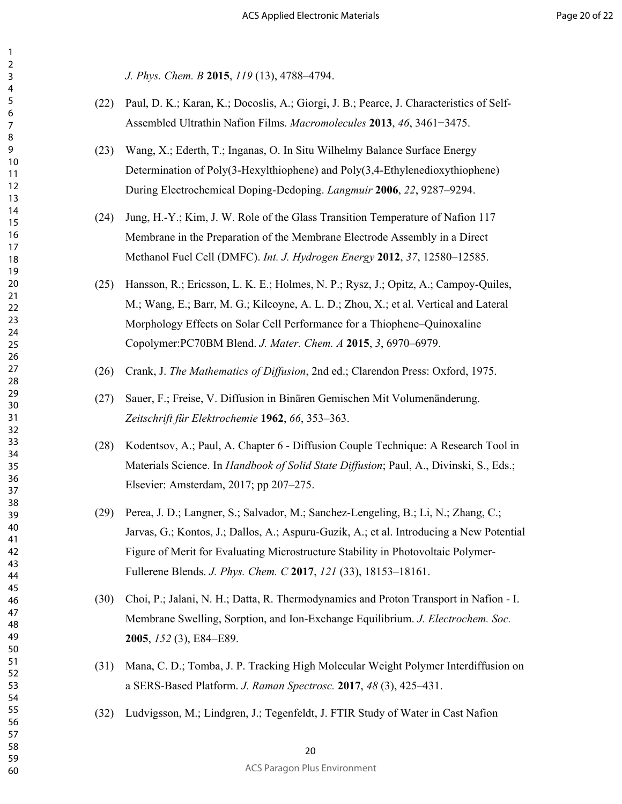*J. Phys. Chem. B* **2015**, *119* (13), 4788–4794.

- (22) Paul, D. K.; Karan, K.; Docoslis, A.; Giorgi, J. B.; Pearce, J. Characteristics of Self-Assembled Ultrathin Nafion Films. *Macromolecules* 2013, 46, 3461-3475.
- (23) Wang, X.; Ederth, T.; Inganas, O. In Situ Wilhelmy Balance Surface Energy Determination of Poly(3-Hexylthiophene) and Poly(3,4-Ethylenedioxythiophene) During Electrochemical Doping-Dedoping. *Langmuir* **2006**, *22*, 9287–9294.
- (24) Jung, H.-Y.; Kim, J. W. Role of the Glass Transition Temperature of Nafion 117 Membrane in the Preparation of the Membrane Electrode Assembly in a Direct Methanol Fuel Cell (DMFC). *Int. J. Hydrogen Energy* **2012**, *37*, 12580–12585.
- (25) Hansson, R.; Ericsson, L. K. E.; Holmes, N. P.; Rysz, J.; Opitz, A.; Campoy-Quiles, M.; Wang, E.; Barr, M. G.; Kilcoyne, A. L. D.; Zhou, X.; et al. Vertical and Lateral Morphology Effects on Solar Cell Performance for a Thiophene–Quinoxaline Copolymer:PC70BM Blend. *J. Mater. Chem. A* **2015**, *3*, 6970–6979.
- (26) Crank, J. *The Mathematics of Diffusion*, 2nd ed.; Clarendon Press: Oxford, 1975.
- (27) Sauer, F.; Freise, V. Diffusion in Binären Gemischen Mit Volumenänderung. *Zeitschrift für Elektrochemie* **1962**, *66*, 353–363.
- (28) Kodentsov, A.; Paul, A. Chapter 6 Diffusion Couple Technique: A Research Tool in Materials Science. In *Handbook of Solid State Diffusion*; Paul, A., Divinski, S., Eds.; Elsevier: Amsterdam, 2017; pp 207–275.
- (29) Perea, J. D.; Langner, S.; Salvador, M.; Sanchez-Lengeling, B.; Li, N.; Zhang, C.; Jarvas, G.; Kontos, J.; Dallos, A.; Aspuru-Guzik, A.; et al. Introducing a New Potential Figure of Merit for Evaluating Microstructure Stability in Photovoltaic Polymer-Fullerene Blends. *J. Phys. Chem. C* **2017**, *121* (33), 18153–18161.
- (30) Choi, P.; Jalani, N. H.; Datta, R. Thermodynamics and Proton Transport in Nafion I. Membrane Swelling, Sorption, and Ion-Exchange Equilibrium. *J. Electrochem. Soc.* , *152* (3), E84–E89.
- (31) Mana, C. D.; Tomba, J. P. Tracking High Molecular Weight Polymer Interdiffusion on a SERS-Based Platform. *J. Raman Spectrosc.* **2017**, *48* (3), 425–431.
- (32) Ludvigsson, M.; Lindgren, J.; Tegenfeldt, J. FTIR Study of Water in Cast Nafion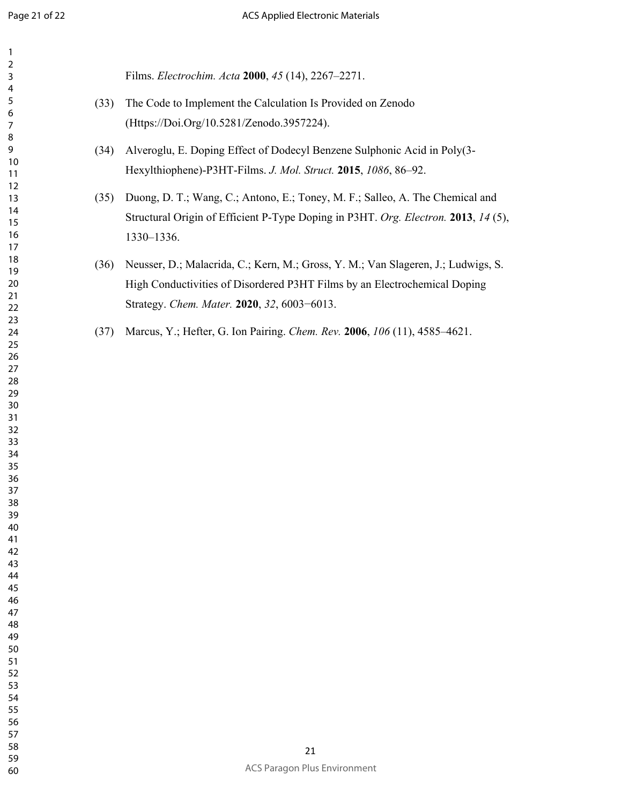| 1               |  |  |  |
|-----------------|--|--|--|
| $\frac{2}{3}$   |  |  |  |
| 4               |  |  |  |
|                 |  |  |  |
| 5<br>6          |  |  |  |
| 7               |  |  |  |
| 8               |  |  |  |
| 9               |  |  |  |
| 10              |  |  |  |
| 11              |  |  |  |
| 12<br>13        |  |  |  |
| $\overline{14}$ |  |  |  |
| 15              |  |  |  |
| 16              |  |  |  |
| 17              |  |  |  |
| 18              |  |  |  |
| 19<br>20        |  |  |  |
| $\overline{21}$ |  |  |  |
| 22              |  |  |  |
| 23              |  |  |  |
| 24              |  |  |  |
| 25              |  |  |  |
| 26              |  |  |  |
| 27<br>28        |  |  |  |
| 29              |  |  |  |
| 30              |  |  |  |
| 31              |  |  |  |
| 32              |  |  |  |
| 33              |  |  |  |
| 34<br>35        |  |  |  |
| 36              |  |  |  |
| 37              |  |  |  |
| 38              |  |  |  |
| 39              |  |  |  |
| 40              |  |  |  |
| 41              |  |  |  |
| 42<br>43        |  |  |  |
| 44              |  |  |  |
| 45              |  |  |  |
| 46              |  |  |  |
| 47              |  |  |  |
| 48              |  |  |  |
| 49              |  |  |  |
| 50<br>51        |  |  |  |
| 52              |  |  |  |
| 53              |  |  |  |
| 54              |  |  |  |
| 55              |  |  |  |
| 56              |  |  |  |
| 57              |  |  |  |
| 58              |  |  |  |

Films. *Electrochim. Acta* **2000**, *45* (14), 2267–2271.

- (33) The Code to Implement the Calculation Is Provided on Zenodo (Https://Doi.Org/10.5281/Zenodo.3957224).
- (34) Alveroglu, E. Doping Effect of Dodecyl Benzene Sulphonic Acid in Poly(3- Hexylthiophene)-P3HT-Films. *J. Mol. Struct.* **2015**, *1086*, 86–92.
- (35) Duong, D. T.; Wang, C.; Antono, E.; Toney, M. F.; Salleo, A. The Chemical and Structural Origin of Efficient P-Type Doping in P3HT. *Org. Electron.* **2013**, *14* (5), 1330–1336.
- (36) Neusser, D.; Malacrida, C.; Kern, M.; Gross, Y. M.; Van Slageren, J.; Ludwigs, S. High Conductivities of Disordered P3HT Films by an Electrochemical Doping Strategy. *Chem. Mater.* **2020**, 32, 6003-6013.
- (37) Marcus, Y.; Hefter, G. Ion Pairing. *Chem. Rev.* **2006**, *106* (11), 4585–4621.